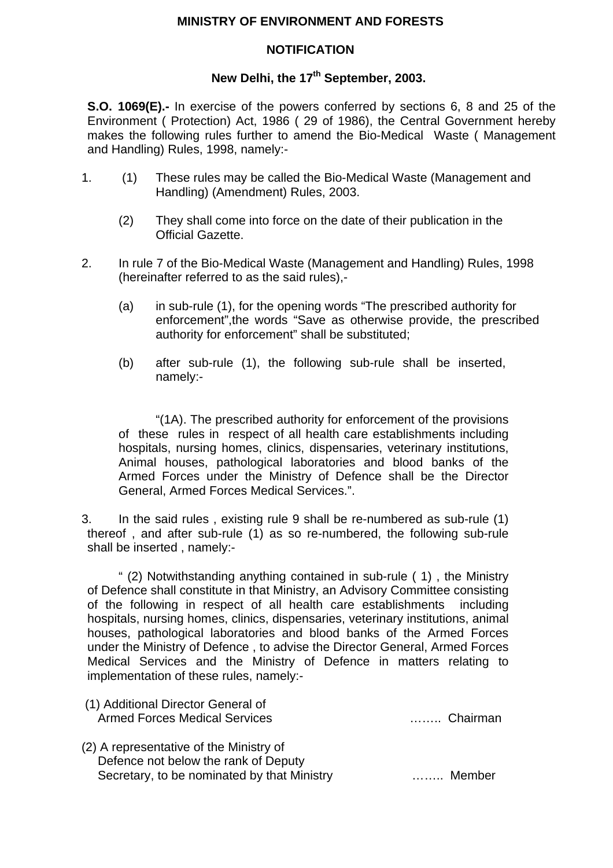## **MINISTRY OF ENVIRONMENT AND FORESTS**

## **NOTIFICATION**

## New Delhi, the 17<sup>th</sup> September, 2003.

**S.O. 1069(E).-** In exercise of the powers conferred by sections 6, 8 and 25 of the Environment ( Protection) Act, 1986 ( 29 of 1986), the Central Government hereby makes the following rules further to amend the Bio-Medical Waste ( Management and Handling) Rules, 1998, namely:-

- 1. (1) These rules may be called the Bio-Medical Waste (Management and Handling) (Amendment) Rules, 2003.
	- (2) They shall come into force on the date of their publication in the Official Gazette.
- 2. In rule 7 of the Bio-Medical Waste (Management and Handling) Rules, 1998 (hereinafter referred to as the said rules),-
	- (a) in sub-rule (1), for the opening words "The prescribed authority for enforcement",the words "Save as otherwise provide, the prescribed authority for enforcement" shall be substituted;
	- (b) after sub-rule (1), the following sub-rule shall be inserted, namely:-

"(1A). The prescribed authority for enforcement of the provisions of these rules in respect of all health care establishments including hospitals, nursing homes, clinics, dispensaries, veterinary institutions, Animal houses, pathological laboratories and blood banks of the Armed Forces under the Ministry of Defence shall be the Director General, Armed Forces Medical Services.".

3. In the said rules , existing rule 9 shall be re-numbered as sub-rule (1) thereof , and after sub-rule (1) as so re-numbered, the following sub-rule shall be inserted , namely:-

 " (2) Notwithstanding anything contained in sub-rule ( 1) , the Ministry of Defence shall constitute in that Ministry, an Advisory Committee consisting of the following in respect of all health care establishments including hospitals, nursing homes, clinics, dispensaries, veterinary institutions, animal houses, pathological laboratories and blood banks of the Armed Forces under the Ministry of Defence , to advise the Director General, Armed Forces Medical Services and the Ministry of Defence in matters relating to implementation of these rules, namely:-

- (1) Additional Director General of Armed Forces Medical Services …….. Chairman
- (2) A representative of the Ministry of Defence not below the rank of Deputy Secretary, to be nominated by that Ministry …….. Member